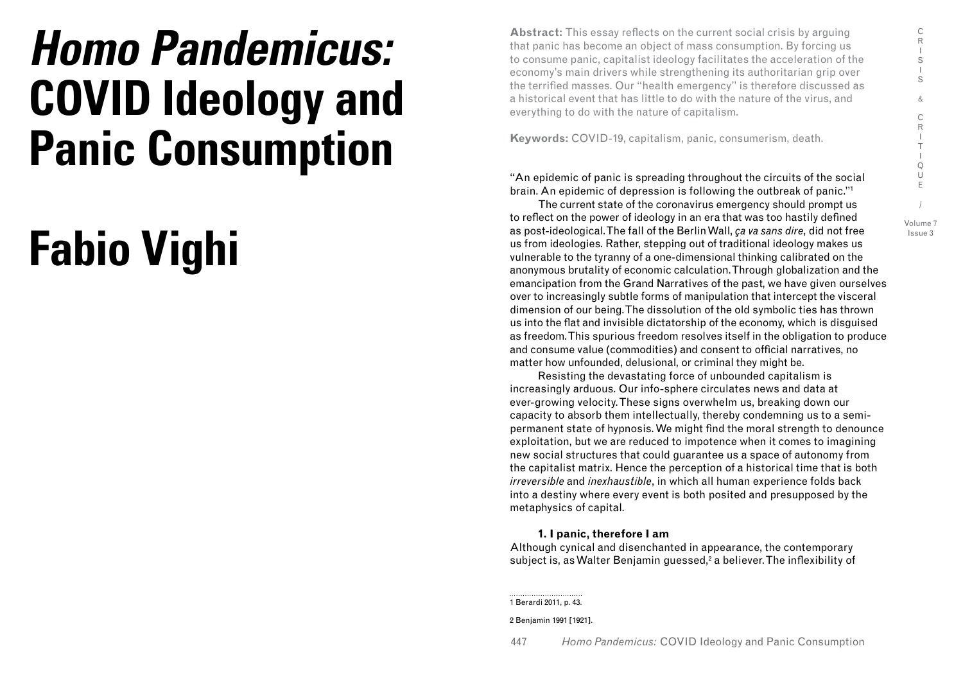# **Homo Pandemicus: COVID Ideology and Panic Consumption**

# **Fabio Vighi**

**Abstract:** This essay reflects on the current social crisis by arguing that panic has become an object of mass consumption. By forcing us to consume panic, capitalist ideology facilitates the acceleration of the economy's main drivers while strengthening its authoritarian grip over the terrified masses. Our "health emergency" is therefore discussed as a historical event that has little to do with the nature of the virus, and everything to do with the nature of capitalism.

**Keywords:** COVID-19, capitalism, panic, consumerism, death.

"An epidemic of panic is spreading throughout the circuits of the social brain. An epidemic of depression is following the outbreak of panic."1

The current state of the coronavirus emergency should prompt us to reflect on the power of ideology in an era that was too hastily defined as post-ideological. The fall of the Berlin Wall, *ça va sans dire*, did not free us from ideologies. Rather, stepping out of traditional ideology makes us vulnerable to the tyranny of a one-dimensional thinking calibrated on the anonymous brutality of economic calculation. Through globalization and the emancipation from the Grand Narratives of the past, we have given ourselves over to increasingly subtle forms of manipulation that intercept the visceral dimension of our being. The dissolution of the old symbolic ties has thrown us into the flat and invisible dictatorship of the economy, which is disguised as freedom. This spurious freedom resolves itself in the obligation to produce and consume value (commodities) and consent to official narratives, no matter how unfounded, delusional, or criminal they might be.

Resisting the devastating force of unbounded capitalism is increasingly arduous. Our info-sphere circulates news and data at ever-growing velocity. These signs overwhelm us, breaking down our capacity to absorb them intellectually, thereby condemning us to a semipermanent state of hypnosis. We might find the moral strength to denounce exploitation, but we are reduced to impotence when it comes to imagining new social structures that could guarantee us a space of autonomy from the capitalist matrix. Hence the perception of a historical time that is both *irreversible* and *inexhaustible*, in which all human experience folds back into a destiny where every event is both posited and presupposed by the metaphysics of capital.

# **1. I panic, therefore I am**

Although cynical and disenchanted in appearance, the contemporary subject is, as Walter Benjamin guessed,<sup>2</sup> a believer. The inflexibility of

1 Berardi 2011, p. 43.

2 Benjamin 1991 [1921].

447 *Homo Pandemicus:* COVID Ideology and Panic Consumption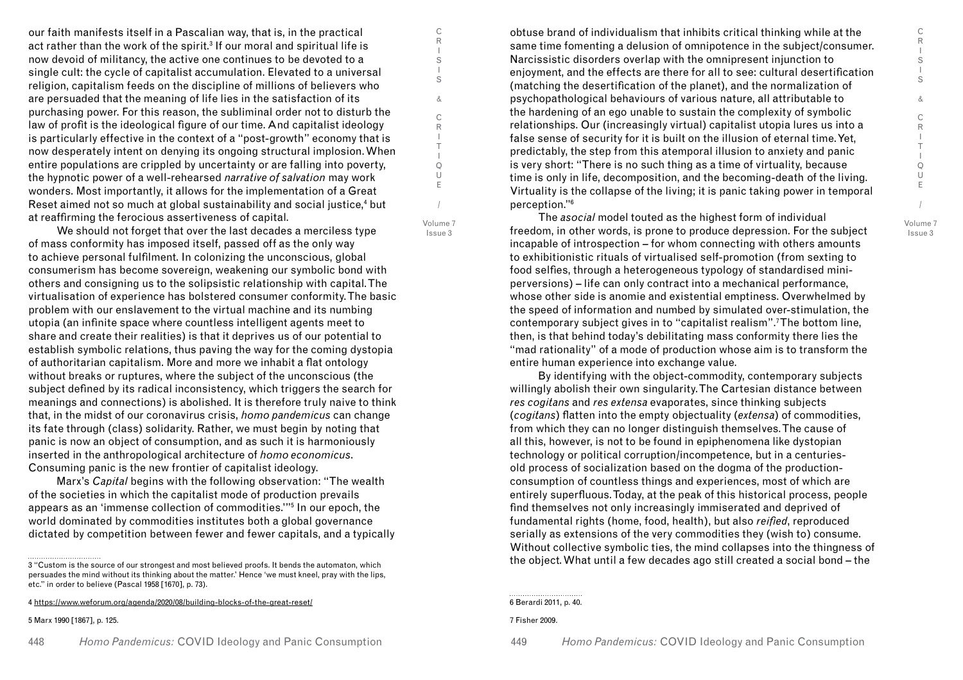our faith manifests itself in a Pascalian way, that is, in the practical act rather than the work of the spirit. $^{\rm 3}$  If our moral and spiritual life is now devoid of militancy, the active one continues to be devoted to a single cult: the cycle of capitalist accumulation. Elevated to a universal religion, capitalism feeds on the discipline of millions of believers who are persuaded that the meaning of life lies in the satisfaction of its purchasing power. For this reason, the subliminal order not to disturb the law of profit is the ideological figure of our time. And capitalist ideology is particularly effective in the context of a "post-growth" economy that is now desperately intent on denying its ongoing structural implosion. When entire populations are crippled by uncertainty or are falling into poverty, the hypnotic power of a well-rehearsed *narrative of salvation* may work wonders. Most importantly, it allows for the implementation of a Great Reset aimed not so much at global sustainability and social justice,<sup>4</sup> but at reaffirming the ferocious assertiveness of capital.

We should not forget that over the last decades a merciless type of mass conformity has imposed itself, passed off as the only way to achieve personal fulfilment. In colonizing the unconscious, global consumerism has become sovereign, weakening our symbolic bond with others and consigning us to the solipsistic relationship with capital. The virtualisation of experience has bolstered consumer conformity. The basic problem with our enslavement to the virtual machine and its numbing utopia (an infinite space where countless intelligent agents meet to share and create their realities) is that it deprives us of our potential to establish symbolic relations, thus paving the way for the coming dystopia of authoritarian capitalism. More and more we inhabit a flat ontology without breaks or ruptures, where the subject of the unconscious (the subject defined by its radical inconsistency, which triggers the search for meanings and connections) is abolished. It is therefore truly naive to think that, in the midst of our coronavirus crisis, *homo pandemicus* can change its fate through (class) solidarity. Rather, we must begin by noting that panic is now an object of consumption, and as such it is harmoniously inserted in the anthropological architecture of *homo economicus*. Consuming panic is the new frontier of capitalist ideology.

Marx's *Capital* begins with the following observation: "The wealth of the societies in which the capitalist mode of production prevails appears as an 'immense collection of commodities.'"5 In our epoch, the world dominated by commodities institutes both a global governance dictated by competition between fewer and fewer capitals, and a typically

5 Marx 1990 [1867], p. 125.

obtuse brand of individualism that inhibits critical thinking while at the same time fomenting a delusion of omnipotence in the subject/consumer. Narcissistic disorders overlap with the omnipresent injunction to enjoyment, and the effects are there for all to see: cultural desertification (matching the desertification of the planet), and the normalization of psychopathological behaviours of various nature, all attributable to the hardening of an ego unable to sustain the complexity of symbolic relationships. Our (increasingly virtual) capitalist utopia lures us into a false sense of security for it is built on the illusion of eternal time. Yet, predictably, the step from this atemporal illusion to anxiety and panic is very short: "There is no such thing as a time of virtuality, because time is only in life, decomposition, and the becoming-death of the living. Virtuality is the collapse of the living; it is panic taking power in temporal perception."6

The *asocial* model touted as the highest form of individual freedom, in other words, is prone to produce depression. For the subject incapable of introspection – for whom connecting with others amounts to exhibitionistic rituals of virtualised self-promotion (from sexting to food selfies, through a heterogeneous typology of standardised miniperversions) – life can only contract into a mechanical performance, whose other side is anomie and existential emptiness. Overwhelmed by the speed of information and numbed by simulated over-stimulation, the contemporary subject gives in to "capitalist realism".7 The bottom line, then, is that behind today's debilitating mass conformity there lies the "mad rationality" of a mode of production whose aim is to transform the entire human experience into exchange value.

By identifying with the object-commodity, contemporary subjects willingly abolish their own singularity. The Cartesian distance between *res cogitans* and *res extensa* evaporates, since thinking subjects (*cogitans*) flatten into the empty objectuality (*extensa*) of commodities, from which they can no longer distinguish themselves. The cause of all this, however, is not to be found in epiphenomena like dystopian technology or political corruption/incompetence, but in a centuriesold process of socialization based on the dogma of the productionconsumption of countless things and experiences, most of which are entirely superfluous. Today, at the peak of this historical process, people find themselves not only increasingly immiserated and deprived of fundamental rights (home, food, health), but also *reified*, reproduced serially as extensions of the very commodities they (wish to) consume. Without collective symbolic ties, the mind collapses into the thingness of the object. What until a few decades ago still created a social bond – the

6 Berardi 2011, p. 40.

7 Fisher 2009.

C R I S I S & C R I T I Q U E

/ Volume 7 Issue 3

<sup>3 &</sup>quot;Custom is the source of our strongest and most believed proofs. It bends the automaton, which persuades the mind without its thinking about the matter.' Hence 'we must kneel, pray with the lips, etc." in order to believe (Pascal 1958 [1670], p. 73).

<sup>4</sup> https://www.weforum.org/agenda/2020/08/building-blocks-of-the-great-reset/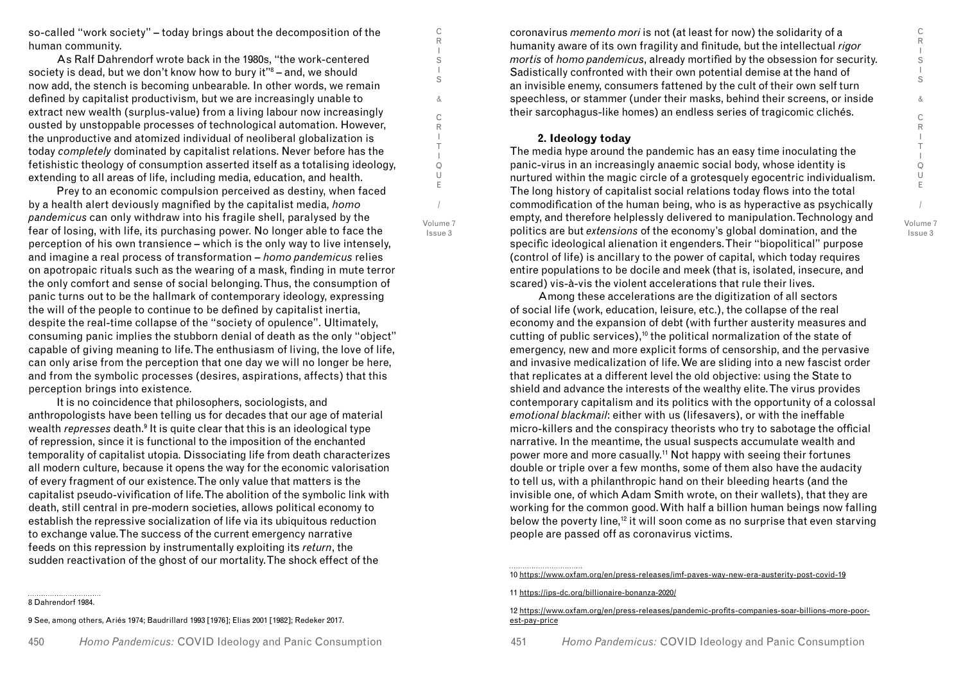so-called "work society" – today brings about the decomposition of the human community.

As Ralf Dahrendorf wrote back in the 1980s, "the work-centered society is dead, but we don't know how to bury it"8 – and, we should now add, the stench is becoming unbearable. In other words, we remain defined by capitalist productivism, but we are increasingly unable to extract new wealth (surplus-value) from a living labour now increasingly ousted by unstoppable processes of technological automation. However, the unproductive and atomized individual of neoliberal globalization is today *completely* dominated by capitalist relations. Never before has the fetishistic theology of consumption asserted itself as a totalising ideology, extending to all areas of life, including media, education, and health.

Prey to an economic compulsion perceived as destiny, when faced by a health alert deviously magnified by the capitalist media, *homo pandemicus* can only withdraw into his fragile shell, paralysed by the fear of losing, with life, its purchasing power. No longer able to face the perception of his own transience – which is the only way to live intensely, and imagine a real process of transformation – *homo pandemicus* relies on apotropaic rituals such as the wearing of a mask, finding in mute terror the only comfort and sense of social belonging. Thus, the consumption of panic turns out to be the hallmark of contemporary ideology, expressing the will of the people to continue to be defined by capitalist inertia, despite the real-time collapse of the "society of opulence". Ultimately, consuming panic implies the stubborn denial of death as the only "object" capable of giving meaning to life. The enthusiasm of living, the love of life, can only arise from the perception that one day we will no longer be here, and from the symbolic processes (desires, aspirations, affects) that this perception brings into existence.

It is no coincidence that philosophers, sociologists, and anthropologists have been telling us for decades that our age of material wealth *represses* death.<sup>9</sup> It is quite clear that this is an ideological type of repression, since it is functional to the imposition of the enchanted temporality of capitalist utopia. Dissociating life from death characterizes all modern culture, because it opens the way for the economic valorisation of every fragment of our existence. The only value that matters is the capitalist pseudo-vivification of life. The abolition of the symbolic link with death, still central in pre-modern societies, allows political economy to establish the repressive socialization of life via its ubiquitous reduction to exchange value. The success of the current emergency narrative feeds on this repression by instrumentally exploiting its *return*, the sudden reactivation of the ghost of our mortality. The shock effect of the

#### 8 Dahrendorf 1984.

9 See, among others, Ariés 1974; Baudrillard 1993 [1976]; Elias 2001 [1982]; Redeker 2017.

coronavirus *memento mori* is not (at least for now) the solidarity of a humanity aware of its own fragility and finitude, but the intellectual *rigor mortis* of *homo pandemicus*, already mortified by the obsession for security. Sadistically confronted with their own potential demise at the hand of an invisible enemy, consumers fattened by the cult of their own self turn speechless, or stammer (under their masks, behind their screens, or inside their sarcophagus-like homes) an endless series of tragicomic clichés.

## **2. Ideology today**

C R I S I S & C R I T I Q U E

/ Volume 7 Issue 3

The media hype around the pandemic has an easy time inoculating the panic-virus in an increasingly anaemic social body, whose identity is nurtured within the magic circle of a grotesquely egocentric individualism. The long history of capitalist social relations today flows into the total commodification of the human being, who is as hyperactive as psychically empty, and therefore helplessly delivered to manipulation. Technology and politics are but *extensions* of the economy's global domination, and the specific ideological alienation it engenders. Their "biopolitical" purpose (control of life) is ancillary to the power of capital, which today requires entire populations to be docile and meek (that is, isolated, insecure, and scared) vis-à-vis the violent accelerations that rule their lives.

Among these accelerations are the digitization of all sectors of social life (work, education, leisure, etc.), the collapse of the real economy and the expansion of debt (with further austerity measures and cutting of public services),10 the political normalization of the state of emergency, new and more explicit forms of censorship, and the pervasive and invasive medicalization of life. We are sliding into a new fascist order that replicates at a different level the old objective: using the State to shield and advance the interests of the wealthy elite.The virus provides contemporary capitalism and its politics with the opportunity of a colossal *emotional blackmail*: either with us (lifesavers), or with the ineffable micro-killers and the conspiracy theorists who try to sabotage the official narrative. In the meantime, the usual suspects accumulate wealth and power more and more casually.11 Not happy with seeing their fortunes double or triple over a few months, some of them also have the audacity to tell us, with a philanthropic hand on their bleeding hearts (and the invisible one, of which Adam Smith wrote, on their wallets), that they are working for the common good. With half a billion human beings now falling below the poverty line,<sup>12</sup> it will soon come as no surprise that even starving people are passed off as coronavirus victims.

11 https://ips-dc.org/billionaire-bonanza-2020/

12 https://www.oxfam.org/en/press-releases/pandemic-profits-companies-soar-billions-more-poorest-pay-price

<sup>10</sup> https://www.oxfam.org/en/press-releases/imf-paves-way-new-era-austerity-post-covid-19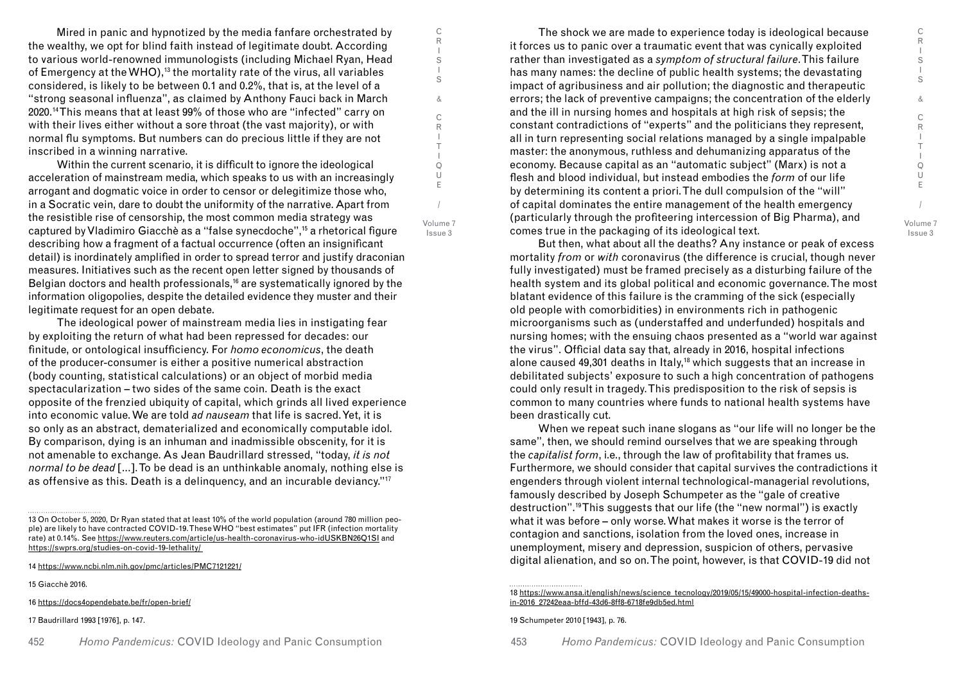Mired in panic and hypnotized by the media fanfare orchestrated by the wealthy, we opt for blind faith instead of legitimate doubt. According to various world-renowned immunologists (including Michael Ryan, Head of Emergency at the WHO),<sup>13</sup> the mortality rate of the virus, all variables considered, is likely to be between 0.1 and 0.2%, that is, at the level of a "strong seasonal influenza", as claimed by Anthony Fauci back in March 2020.14 This means that at least 99% of those who are "infected" carry on with their lives either without a sore throat (the vast majority), or with normal flu symptoms. But numbers can do precious little if they are not inscribed in a winning narrative.

C R I S I S & C R I T I Q U E

/ Volume 7 Issue 3

Within the current scenario, it is difficult to ignore the ideological acceleration of mainstream media, which speaks to us with an increasingly arrogant and dogmatic voice in order to censor or delegitimize those who, in a Socratic vein, dare to doubt the uniformity of the narrative. Apart from the resistible rise of censorship, the most common media strategy was captured by Vladimiro Giacchè as a "false synecdoche",15 a rhetorical figure describing how a fragment of a factual occurrence (often an insignificant detail) is inordinately amplified in order to spread terror and justify draconian measures. Initiatives such as the recent open letter signed by thousands of Belgian doctors and health professionals,<sup>16</sup> are systematically ignored by the information oligopolies, despite the detailed evidence they muster and their legitimate request for an open debate.

The ideological power of mainstream media lies in instigating fear by exploiting the return of what had been repressed for decades: our finitude, or ontological insufficiency. For *homo economicus*, the death of the producer-consumer is either a positive numerical abstraction (body counting, statistical calculations) or an object of morbid media spectacularization – two sides of the same coin. Death is the exact opposite of the frenzied ubiquity of capital, which grinds all lived experience into economic value. We are told *ad nauseam* that life is sacred. Yet, it is so only as an abstract, dematerialized and economically computable idol. By comparison, dying is an inhuman and inadmissible obscenity, for it is not amenable to exchange. As Jean Baudrillard stressed, "today, *it is not normal to be dead* [...]. To be dead is an unthinkable anomaly, nothing else is as offensive as this. Death is a delinquency, and an incurable deviancy."17

14 https://www.ncbi.nlm.nih.gov/pmc/articles/PMC7121221/

15 Giacchè 2016.

16 https://docs4opendebate.be/fr/open-brief/

17 Baudrillard 1993 [1976], p. 147.

452 *Homo Pandemicus: COVID Ideology and Panic Consumption* 453

The shock we are made to experience today is ideological because it forces us to panic over a traumatic event that was cynically exploited rather than investigated as a *symptom of structural failure*. This failure has many names: the decline of public health systems; the devastating impact of agribusiness and air pollution; the diagnostic and therapeutic errors; the lack of preventive campaigns; the concentration of the elderly and the ill in nursing homes and hospitals at high risk of sepsis; the constant contradictions of "experts" and the politicians they represent, all in turn representing social relations managed by a single impalpable master: the anonymous, ruthless and dehumanizing apparatus of the economy. Because capital as an "automatic subject" (Marx) is not a flesh and blood individual, but instead embodies the *form* of our life by determining its content a priori. The dull compulsion of the "will" of capital dominates the entire management of the health emergency (particularly through the profiteering intercession of Big Pharma), and comes true in the packaging of its ideological text.

But then, what about all the deaths? Any instance or peak of excess mortality *from* or *with* coronavirus (the difference is crucial, though never fully investigated) must be framed precisely as a disturbing failure of the health system and its global political and economic governance. The most blatant evidence of this failure is the cramming of the sick (especially old people with comorbidities) in environments rich in pathogenic microorganisms such as (understaffed and underfunded) hospitals and nursing homes; with the ensuing chaos presented as a "world war against the virus". Official data say that, already in 2016, hospital infections alone caused 49,301 deaths in Italy,<sup>18</sup> which suggests that an increase in debilitated subjects' exposure to such a high concentration of pathogens could only result in tragedy. This predisposition to the risk of sepsis is common to many countries where funds to national health systems have been drastically cut.

When we repeat such inane slogans as "our life will no longer be the same", then, we should remind ourselves that we are speaking through the *capitalist form*, i.e., through the law of profitability that frames us. Furthermore, we should consider that capital survives the contradictions it engenders through violent internal technological-managerial revolutions, famously described by Joseph Schumpeter as the "gale of creative destruction".19 This suggests that our life (the "new normal") is exactly what it was before – only worse. What makes it worse is the terror of contagion and sanctions, isolation from the loved ones, increase in unemployment, misery and depression, suspicion of others, pervasive digital alienation, and so on. The point, however, is that COVID-19 did not

#### 18 https://www.ansa.it/english/news/science\_tecnology/2019/05/15/49000-hospital-infection-deathsin-2016\_27242eaa-bffd-43d6-8ff8-6718fe9db5ed.html

19 Schumpeter 2010 [1943], p. 76.

<sup>13</sup> On October 5, 2020, Dr Ryan stated that at least 10% of the world population (around 780 million people) are likely to have contracted COVID-19. These WHO "best estimates" put IFR (infection mortality rate) at 0.14%. See https://www.reuters.com/article/us-health-coronavirus-who-idUSKBN26Q1SI and https://swprs.org/studies-on-covid-19-lethality/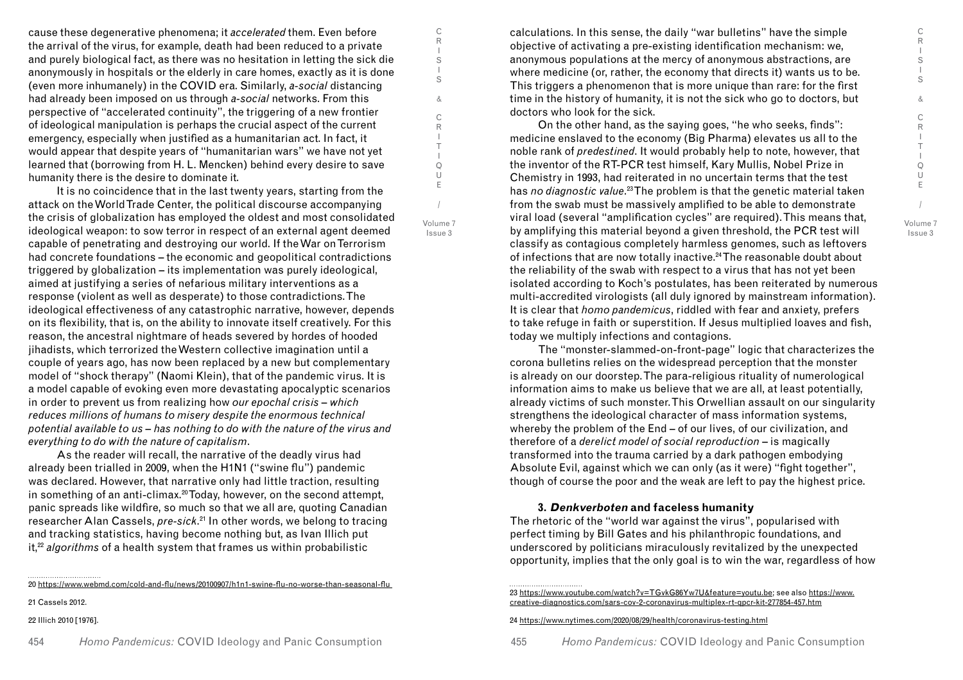cause these degenerative phenomena; it *accelerated* them. Even before the arrival of the virus, for example, death had been reduced to a private and purely biological fact, as there was no hesitation in letting the sick die anonymously in hospitals or the elderly in care homes, exactly as it is done (even more inhumanely) in the COVID era. Similarly, *a-social* distancing had already been imposed on us through *a-social* networks. From this perspective of "accelerated continuity", the triggering of a new frontier of ideological manipulation is perhaps the crucial aspect of the current emergency, especially when justified as a humanitarian act. In fact, it would appear that despite years of "humanitarian wars" we have not yet learned that (borrowing from H. L. Mencken) behind every desire to save humanity there is the desire to dominate it.

It is no coincidence that in the last twenty years, starting from the attack on the World Trade Center, the political discourse accompanying the crisis of globalization has employed the oldest and most consolidated ideological weapon: to sow terror in respect of an external agent deemed capable of penetrating and destroying our world. If the War on Terrorism had concrete foundations – the economic and geopolitical contradictions triggered by globalization – its implementation was purely ideological, aimed at justifying a series of nefarious military interventions as a response (violent as well as desperate) to those contradictions. The ideological effectiveness of any catastrophic narrative, however, depends on its flexibility, that is, on the ability to innovate itself creatively. For this reason, the ancestral nightmare of heads severed by hordes of hooded jihadists, which terrorized the Western collective imagination until a couple of years ago, has now been replaced by a new but complementary model of "shock therapy" (Naomi Klein), that of the pandemic virus. It is a model capable of evoking even more devastating apocalyptic scenarios in order to prevent us from realizing how *our epochal crisis – which reduces millions of humans to misery despite the enormous technical potential available to us – has nothing to do with the nature of the virus and everything to do with the nature of capitalism*.

As the reader will recall, the narrative of the deadly virus had already been trialled in 2009, when the H1N1 ("swine flu") pandemic was declared. However, that narrative only had little traction, resulting in something of an anti-climax.<sup>20</sup> Today, however, on the second attempt, panic spreads like wildfire, so much so that we all are, quoting Canadian researcher Alan Cassels, *pre-sick*. 21 In other words, we belong to tracing and tracking statistics, having become nothing but, as Ivan Illich put it,22 *algorithms* of a health system that frames us within probabilistic

20 https://www.webmd.com/cold-and-flu/news/20100907/h1n1-swine-flu-no-worse-than-seasonal-flu

21 Cassels 2012.

22 Illich 2010 [1976].

454 *Homo Pandemicus: COVID Ideology and Panic Consumption* 455

calculations. In this sense, the daily "war bulletins" have the simple objective of activating a pre-existing identification mechanism: we, anonymous populations at the mercy of anonymous abstractions, are where medicine (or, rather, the economy that directs it) wants us to be. This triggers a phenomenon that is more unique than rare: for the first time in the history of humanity, it is not the sick who go to doctors, but doctors who look for the sick.

On the other hand, as the saying goes, "he who seeks, finds": medicine enslaved to the economy (Big Pharma) elevates us all to the noble rank of *predestined*. It would probably help to note, however, that the inventor of the RT-PCR test himself, Kary Mullis, Nobel Prize in Chemistry in 1993, had reiterated in no uncertain terms that the test has *no diagnostic value*. 23 The problem is that the genetic material taken from the swab must be massively amplified to be able to demonstrate viral load (several "amplification cycles" are required). This means that, by amplifying this material beyond a given threshold, the PCR test will classify as contagious completely harmless genomes, such as leftovers of infections that are now totally inactive.24 The reasonable doubt about the reliability of the swab with respect to a virus that has not yet been isolated according to Koch's postulates, has been reiterated by numerous multi-accredited virologists (all duly ignored by mainstream information). It is clear that *homo pandemicus*, riddled with fear and anxiety, prefers to take refuge in faith or superstition. If Jesus multiplied loaves and fish, today we multiply infections and contagions.

The "monster-slammed-on-front-page" logic that characterizes the corona bulletins relies on the widespread perception that the monster is already on our doorstep. The para-religious rituality of numerological information aims to make us believe that we are all, at least potentially, already victims of such monster. This Orwellian assault on our singularity strengthens the ideological character of mass information systems, whereby the problem of the End – of our lives, of our civilization, and therefore of a *derelict model of social reproduction* – is magically transformed into the trauma carried by a dark pathogen embodying Absolute Evil, against which we can only (as it were) "fight together", though of course the poor and the weak are left to pay the highest price.

# **3. Denkverboten and faceless humanity**

The rhetoric of the "world war against the virus", popularised with perfect timing by Bill Gates and his philanthropic foundations, and underscored by politicians miraculously revitalized by the unexpected opportunity, implies that the only goal is to win the war, regardless of how

23 https://www.youtube.com/watch?v=TGvkG86Yw7U&feature=youtu.be; see also https://www. creative-diagnostics.com/sars-cov-2-coronavirus-multiplex-rt-qpcr-kit-277854-457.htm

24 https://www.nytimes.com/2020/08/29/health/coronavirus-testing.html

*Homo Pandemicus:* COVID Ideology and Panic Consumption

Volume 7 Issue 3

/

C R I S I S & C R I T I Q U E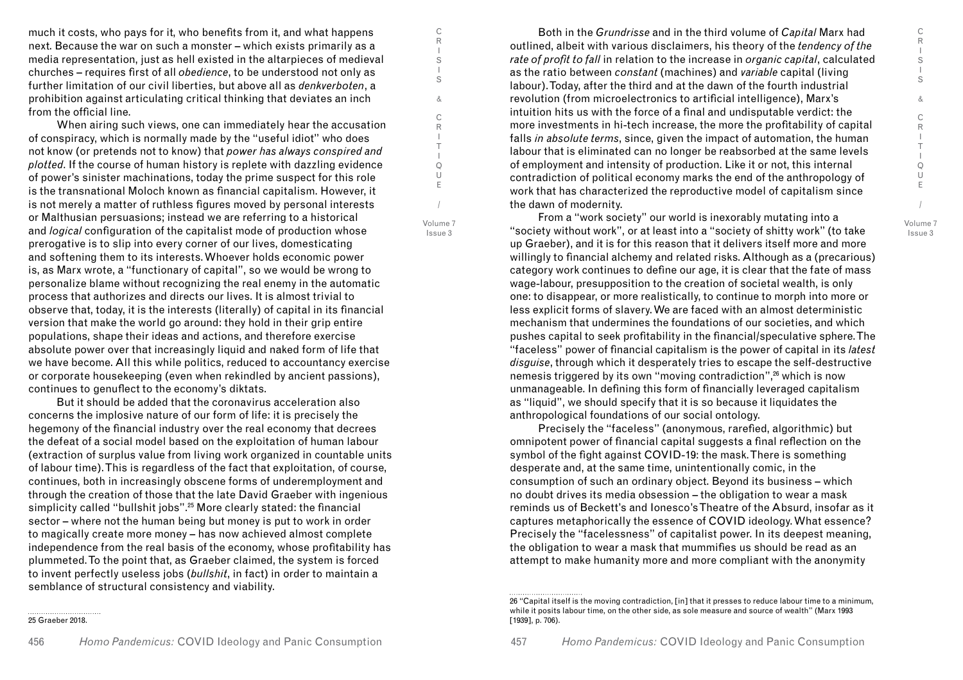much it costs, who pays for it, who benefits from it, and what happens next. Because the war on such a monster – which exists primarily as a media representation, just as hell existed in the altarpieces of medieval churches – requires first of all *obedience*, to be understood not only as further limitation of our civil liberties, but above all as *denkverboten*, a prohibition against articulating critical thinking that deviates an inch from the official line.

C R I S I S & C R I T I Q U E

/ Volume 7 Issue 3

When airing such views, one can immediately hear the accusation of conspiracy, which is normally made by the "useful idiot" who does not know (or pretends not to know) that *power has always conspired and plotted*. If the course of human history is replete with dazzling evidence of power's sinister machinations, today the prime suspect for this role is the transnational Moloch known as financial capitalism. However, it is not merely a matter of ruthless figures moved by personal interests or Malthusian persuasions; instead we are referring to a historical and *logical* configuration of the capitalist mode of production whose prerogative is to slip into every corner of our lives, domesticating and softening them to its interests. Whoever holds economic power is, as Marx wrote, a "functionary of capital", so we would be wrong to personalize blame without recognizing the real enemy in the automatic process that authorizes and directs our lives. It is almost trivial to observe that, today, it is the interests (literally) of capital in its financial version that make the world go around: they hold in their grip entire populations, shape their ideas and actions, and therefore exercise absolute power over that increasingly liquid and naked form of life that we have become. All this while politics, reduced to accountancy exercise or corporate housekeeping (even when rekindled by ancient passions), continues to genuflect to the economy's diktats.

But it should be added that the coronavirus acceleration also concerns the implosive nature of our form of life: it is precisely the hegemony of the financial industry over the real economy that decrees the defeat of a social model based on the exploitation of human labour (extraction of surplus value from living work organized in countable units of labour time). This is regardless of the fact that exploitation, of course, continues, both in increasingly obscene forms of underemployment and through the creation of those that the late David Graeber with ingenious simplicity called "bullshit jobs".<sup>25</sup> More clearly stated: the financial sector – where not the human being but money is put to work in order to magically create more money – has now achieved almost complete independence from the real basis of the economy, whose profitability has plummeted. To the point that, as Graeber claimed, the system is forced to invent perfectly useless jobs (*bullshit*, in fact) in order to maintain a semblance of structural consistency and viability.

Both in the *Grundrisse* and in the third volume of *Capital* Marx had outlined, albeit with various disclaimers, his theory of the *tendency of the rate of profit to fall* in relation to the increase in *organic capital*, calculated as the ratio between *constant* (machines) and *variable* capital (living labour). Today, after the third and at the dawn of the fourth industrial revolution (from microelectronics to artificial intelligence), Marx's intuition hits us with the force of a final and undisputable verdict: the more investments in hi-tech increase, the more the profitability of capital falls *in absolute terms*, since, given the impact of automation, the human labour that is eliminated can no longer be reabsorbed at the same levels of employment and intensity of production. Like it or not, this internal contradiction of political economy marks the end of the anthropology of work that has characterized the reproductive model of capitalism since the dawn of modernity.

From a "work society" our world is inexorably mutating into a "society without work", or at least into a "society of shitty work" (to take up Graeber), and it is for this reason that it delivers itself more and more willingly to financial alchemy and related risks. Although as a (precarious) category work continues to define our age, it is clear that the fate of mass wage-labour, presupposition to the creation of societal wealth, is only one: to disappear, or more realistically, to continue to morph into more or less explicit forms of slavery. We are faced with an almost deterministic mechanism that undermines the foundations of our societies, and which pushes capital to seek profitability in the financial/speculative sphere. The "faceless" power of financial capitalism is the power of capital in its *latest disguise*, through which it desperately tries to escape the self-destructive nemesis triggered by its own "moving contradiction",<sup>26</sup> which is now unmanageable. In defining this form of financially leveraged capitalism as "liquid", we should specify that it is so because it liquidates the anthropological foundations of our social ontology.

Precisely the "faceless" (anonymous, rarefied, algorithmic) but omnipotent power of financial capital suggests a final reflection on the symbol of the fight against COVID-19: the mask. There is something desperate and, at the same time, unintentionally comic, in the consumption of such an ordinary object. Beyond its business – which no doubt drives its media obsession – the obligation to wear a mask reminds us of Beckett's and Ionesco's Theatre of the Absurd, insofar as it captures metaphorically the essence of COVID ideology. What essence? Precisely the "facelessness" of capitalist power. In its deepest meaning, the obligation to wear a mask that mummifies us should be read as an attempt to make humanity more and more compliant with the anonymity

<sup>25</sup> Graeber 2018.

<sup>26 &</sup>quot;Capital itself is the moving contradiction, [in] that it presses to reduce labour time to a minimum, while it posits labour time, on the other side, as sole measure and source of wealth" (Marx 1993 [1939], p. 706).